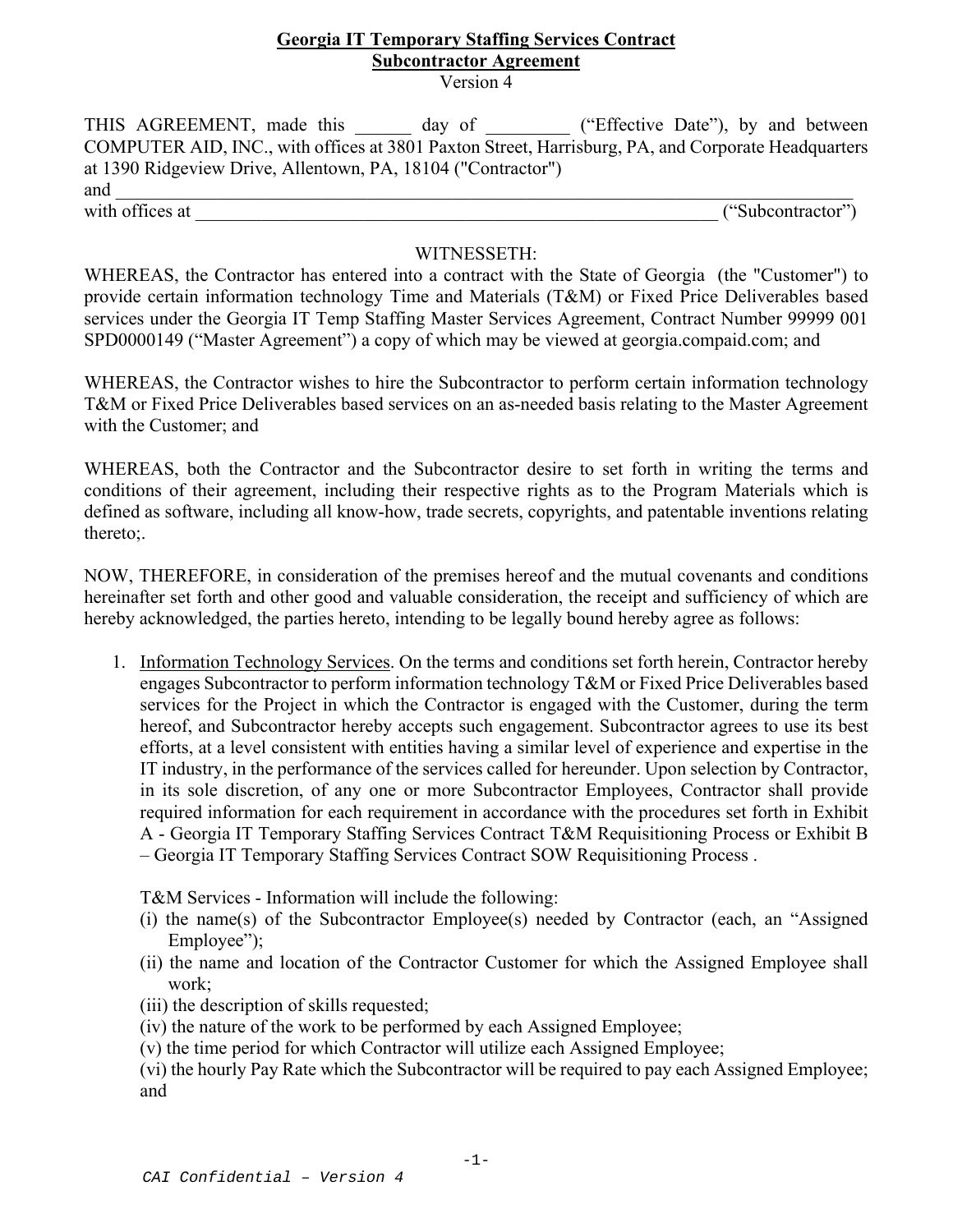# **Georgia IT Temporary Staffing Services Contract Subcontractor Agreement**

Version 4

THIS AGREEMENT, made this \_\_\_\_\_\_ day of \_\_\_\_\_\_\_\_ ("Effective Date"), by and between COMPUTER AID, INC., with offices at 3801 Paxton Street, Harrisburg, PA, and Corporate Headquarters at 1390 Ridgeview Drive, Allentown, PA, 18104 ("Contractor") and  $\Box$ with offices at  $($ "Subcontractor")

## WITNESSETH:

WHEREAS, the Contractor has entered into a contract with the State of Georgia (the "Customer") to provide certain information technology Time and Materials (T&M) or Fixed Price Deliverables based services under the Georgia IT Temp Staffing Master Services Agreement, Contract Number 99999 001 SPD0000149 ("Master Agreement") a copy of which may be viewed at georgia.compaid.com; and

WHEREAS, the Contractor wishes to hire the Subcontractor to perform certain information technology T&M or Fixed Price Deliverables based services on an as-needed basis relating to the Master Agreement with the Customer; and

WHEREAS, both the Contractor and the Subcontractor desire to set forth in writing the terms and conditions of their agreement, including their respective rights as to the Program Materials which is defined as software, including all know-how, trade secrets, copyrights, and patentable inventions relating thereto;.

NOW, THEREFORE, in consideration of the premises hereof and the mutual covenants and conditions hereinafter set forth and other good and valuable consideration, the receipt and sufficiency of which are hereby acknowledged, the parties hereto, intending to be legally bound hereby agree as follows:

1. Information Technology Services. On the terms and conditions set forth herein, Contractor hereby engages Subcontractor to perform information technology T&M or Fixed Price Deliverables based services for the Project in which the Contractor is engaged with the Customer, during the term hereof, and Subcontractor hereby accepts such engagement. Subcontractor agrees to use its best efforts, at a level consistent with entities having a similar level of experience and expertise in the IT industry, in the performance of the services called for hereunder. Upon selection by Contractor, in its sole discretion, of any one or more Subcontractor Employees, Contractor shall provide required information for each requirement in accordance with the procedures set forth in Exhibit A - Georgia IT Temporary Staffing Services Contract T&M Requisitioning Process or Exhibit B – Georgia IT Temporary Staffing Services Contract SOW Requisitioning Process .

T&M Services - Information will include the following:

- (i) the name(s) of the Subcontractor Employee(s) needed by Contractor (each, an "Assigned Employee");
- (ii) the name and location of the Contractor Customer for which the Assigned Employee shall work;
- (iii) the description of skills requested;
- (iv) the nature of the work to be performed by each Assigned Employee;
- (v) the time period for which Contractor will utilize each Assigned Employee;
- (vi) the hourly Pay Rate which the Subcontractor will be required to pay each Assigned Employee; and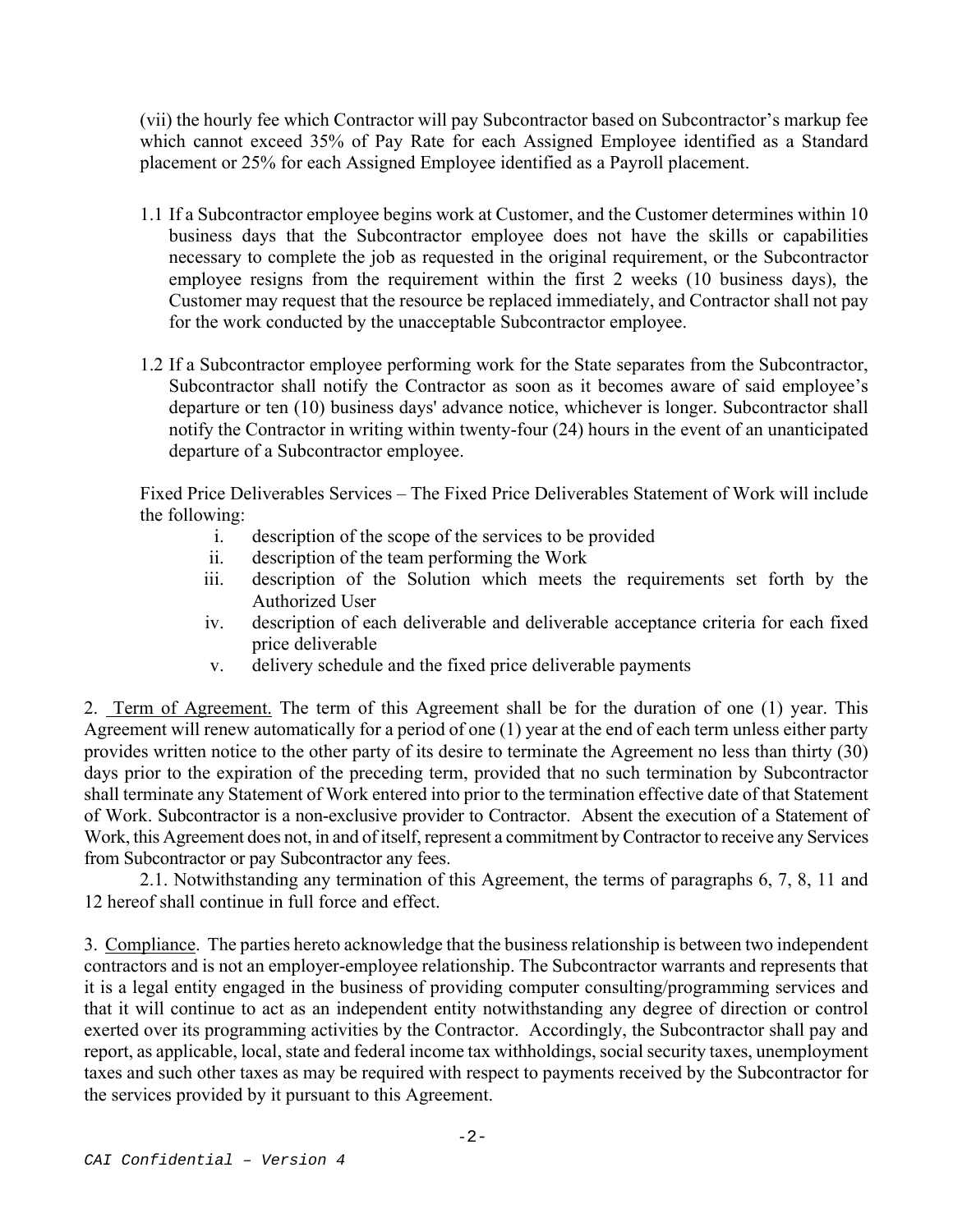(vii) the hourly fee which Contractor will pay Subcontractor based on Subcontractor's markup fee which cannot exceed 35% of Pay Rate for each Assigned Employee identified as a Standard placement or 25% for each Assigned Employee identified as a Payroll placement.

- 1.1 If a Subcontractor employee begins work at Customer, and the Customer determines within 10 business days that the Subcontractor employee does not have the skills or capabilities necessary to complete the job as requested in the original requirement, or the Subcontractor employee resigns from the requirement within the first 2 weeks (10 business days), the Customer may request that the resource be replaced immediately, and Contractor shall not pay for the work conducted by the unacceptable Subcontractor employee.
- 1.2 If a Subcontractor employee performing work for the State separates from the Subcontractor, Subcontractor shall notify the Contractor as soon as it becomes aware of said employee's departure or ten (10) business days' advance notice, whichever is longer. Subcontractor shall notify the Contractor in writing within twenty-four (24) hours in the event of an unanticipated departure of a Subcontractor employee.

Fixed Price Deliverables Services – The Fixed Price Deliverables Statement of Work will include the following:

- i. description of the scope of the services to be provided
- ii. description of the team performing the Work
- iii. description of the Solution which meets the requirements set forth by the Authorized User
- iv. description of each deliverable and deliverable acceptance criteria for each fixed price deliverable
- v. delivery schedule and the fixed price deliverable payments

2. Term of Agreement. The term of this Agreement shall be for the duration of one (1) year. This Agreement will renew automatically for a period of one (1) year at the end of each term unless either party provides written notice to the other party of its desire to terminate the Agreement no less than thirty (30) days prior to the expiration of the preceding term, provided that no such termination by Subcontractor shall terminate any Statement of Work entered into prior to the termination effective date of that Statement of Work. Subcontractor is a non-exclusive provider to Contractor. Absent the execution of a Statement of Work, this Agreement does not, in and of itself, represent a commitment by Contractor to receive any Services from Subcontractor or pay Subcontractor any fees.

 2.1. Notwithstanding any termination of this Agreement, the terms of paragraphs 6, 7, 8, 11 and 12 hereof shall continue in full force and effect.

3. Compliance. The parties hereto acknowledge that the business relationship is between two independent contractors and is not an employer-employee relationship. The Subcontractor warrants and represents that it is a legal entity engaged in the business of providing computer consulting/programming services and that it will continue to act as an independent entity notwithstanding any degree of direction or control exerted over its programming activities by the Contractor. Accordingly, the Subcontractor shall pay and report, as applicable, local, state and federal income tax withholdings, social security taxes, unemployment taxes and such other taxes as may be required with respect to payments received by the Subcontractor for the services provided by it pursuant to this Agreement.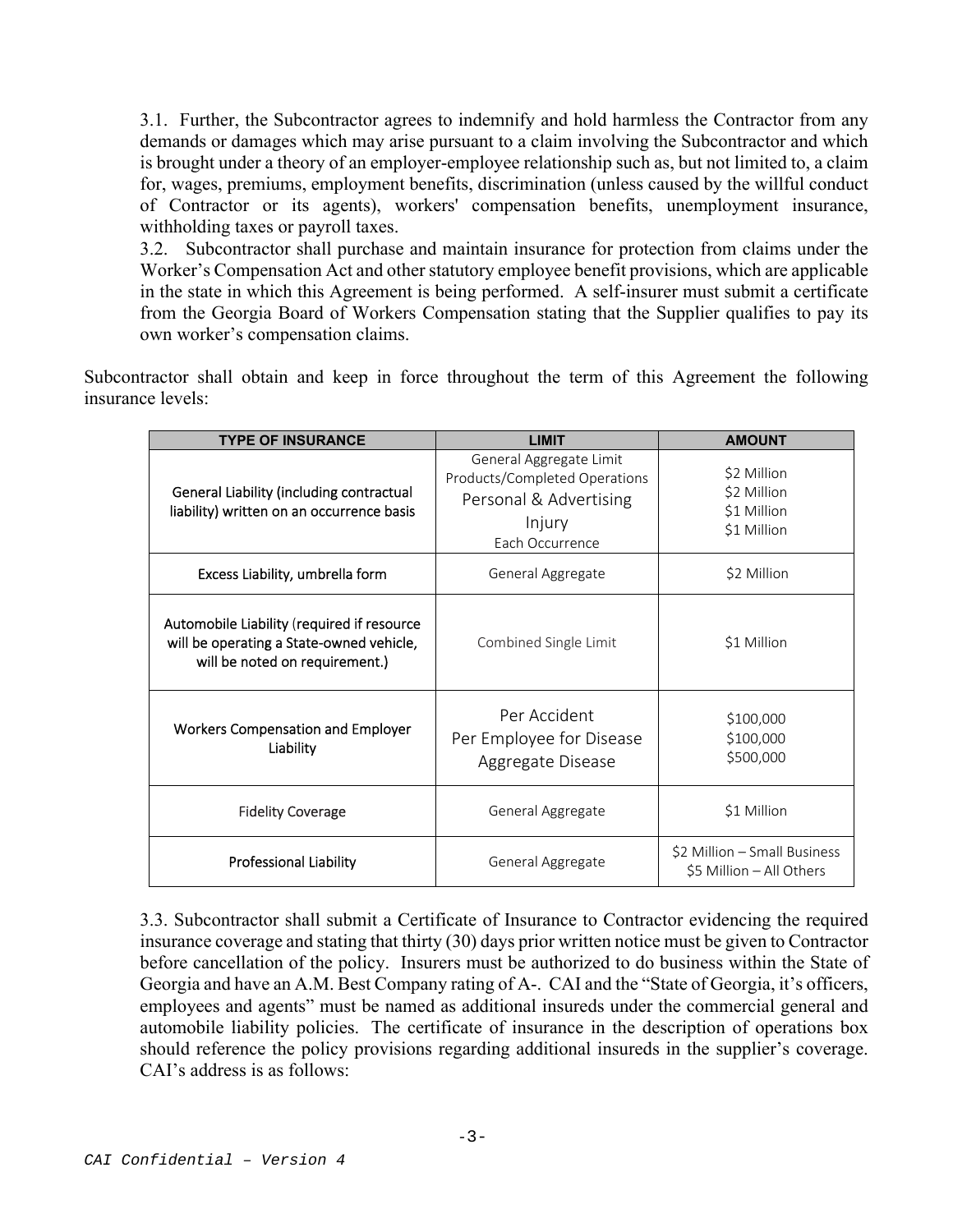3.1. Further, the Subcontractor agrees to indemnify and hold harmless the Contractor from any demands or damages which may arise pursuant to a claim involving the Subcontractor and which is brought under a theory of an employer-employee relationship such as, but not limited to, a claim for, wages, premiums, employment benefits, discrimination (unless caused by the willful conduct of Contractor or its agents), workers' compensation benefits, unemployment insurance, withholding taxes or payroll taxes.

3.2. Subcontractor shall purchase and maintain insurance for protection from claims under the Worker's Compensation Act and other statutory employee benefit provisions, which are applicable in the state in which this Agreement is being performed. A self-insurer must submit a certificate from the Georgia Board of Workers Compensation stating that the Supplier qualifies to pay its own worker's compensation claims.

Subcontractor shall obtain and keep in force throughout the term of this Agreement the following insurance levels:

| <b>TYPE OF INSURANCE</b>                                                                                                 | <b>LIMIT</b>                                                                                                    | <b>AMOUNT</b>                                            |
|--------------------------------------------------------------------------------------------------------------------------|-----------------------------------------------------------------------------------------------------------------|----------------------------------------------------------|
| <b>General Liability (including contractual</b><br>liability) written on an occurrence basis                             | General Aggregate Limit<br>Products/Completed Operations<br>Personal & Advertising<br>Injury<br>Each Occurrence | \$2 Million<br>\$2 Million<br>\$1 Million<br>\$1 Million |
| Excess Liability, umbrella form                                                                                          | General Aggregate                                                                                               | \$2 Million                                              |
| Automobile Liability (required if resource<br>will be operating a State-owned vehicle,<br>will be noted on requirement.) | Combined Single Limit                                                                                           | \$1 Million                                              |
| <b>Workers Compensation and Employer</b><br>Liability                                                                    | Per Accident<br>Per Employee for Disease<br>Aggregate Disease                                                   | \$100,000<br>\$100,000<br>\$500,000                      |
| <b>Fidelity Coverage</b>                                                                                                 | General Aggregate                                                                                               | \$1 Million                                              |
| <b>Professional Liability</b>                                                                                            | General Aggregate                                                                                               | \$2 Million - Small Business<br>\$5 Million - All Others |

3.3. Subcontractor shall submit a Certificate of Insurance to Contractor evidencing the required insurance coverage and stating that thirty (30) days prior written notice must be given to Contractor before cancellation of the policy. Insurers must be authorized to do business within the State of Georgia and have an A.M. Best Company rating of A-. CAI and the "State of Georgia, it's officers, employees and agents" must be named as additional insureds under the commercial general and automobile liability policies. The certificate of insurance in the description of operations box should reference the policy provisions regarding additional insureds in the supplier's coverage. CAI's address is as follows: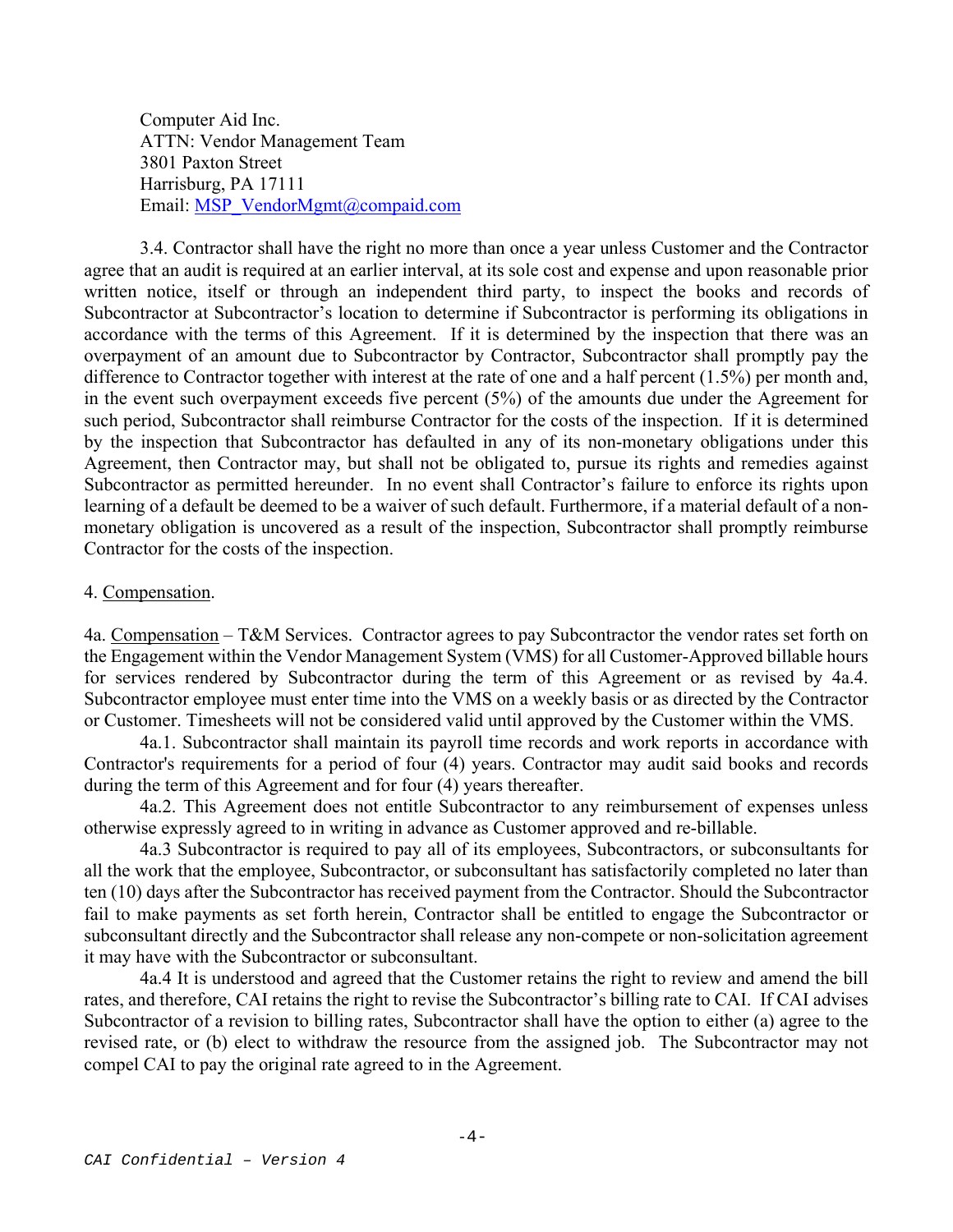Computer Aid Inc. ATTN: Vendor Management Team 3801 Paxton Street Harrisburg, PA 17111 Email: MSP\_VendorMgmt@compaid.com

3.4. Contractor shall have the right no more than once a year unless Customer and the Contractor agree that an audit is required at an earlier interval, at its sole cost and expense and upon reasonable prior written notice, itself or through an independent third party, to inspect the books and records of Subcontractor at Subcontractor's location to determine if Subcontractor is performing its obligations in accordance with the terms of this Agreement. If it is determined by the inspection that there was an overpayment of an amount due to Subcontractor by Contractor, Subcontractor shall promptly pay the difference to Contractor together with interest at the rate of one and a half percent (1.5%) per month and, in the event such overpayment exceeds five percent (5%) of the amounts due under the Agreement for such period, Subcontractor shall reimburse Contractor for the costs of the inspection. If it is determined by the inspection that Subcontractor has defaulted in any of its non-monetary obligations under this Agreement, then Contractor may, but shall not be obligated to, pursue its rights and remedies against Subcontractor as permitted hereunder. In no event shall Contractor's failure to enforce its rights upon learning of a default be deemed to be a waiver of such default. Furthermore, if a material default of a nonmonetary obligation is uncovered as a result of the inspection, Subcontractor shall promptly reimburse Contractor for the costs of the inspection.

### 4. Compensation.

4a. Compensation – T&M Services. Contractor agrees to pay Subcontractor the vendor rates set forth on the Engagement within the Vendor Management System (VMS) for all Customer-Approved billable hours for services rendered by Subcontractor during the term of this Agreement or as revised by 4a.4. Subcontractor employee must enter time into the VMS on a weekly basis or as directed by the Contractor or Customer. Timesheets will not be considered valid until approved by the Customer within the VMS.

 4a.1. Subcontractor shall maintain its payroll time records and work reports in accordance with Contractor's requirements for a period of four (4) years. Contractor may audit said books and records during the term of this Agreement and for four (4) years thereafter.

 4a.2. This Agreement does not entitle Subcontractor to any reimbursement of expenses unless otherwise expressly agreed to in writing in advance as Customer approved and re-billable.

 4a.3 Subcontractor is required to pay all of its employees, Subcontractors, or subconsultants for all the work that the employee, Subcontractor, or subconsultant has satisfactorily completed no later than ten (10) days after the Subcontractor has received payment from the Contractor. Should the Subcontractor fail to make payments as set forth herein, Contractor shall be entitled to engage the Subcontractor or subconsultant directly and the Subcontractor shall release any non-compete or non-solicitation agreement it may have with the Subcontractor or subconsultant.

 4a.4 It is understood and agreed that the Customer retains the right to review and amend the bill rates, and therefore, CAI retains the right to revise the Subcontractor's billing rate to CAI. If CAI advises Subcontractor of a revision to billing rates, Subcontractor shall have the option to either (a) agree to the revised rate, or (b) elect to withdraw the resource from the assigned job. The Subcontractor may not compel CAI to pay the original rate agreed to in the Agreement.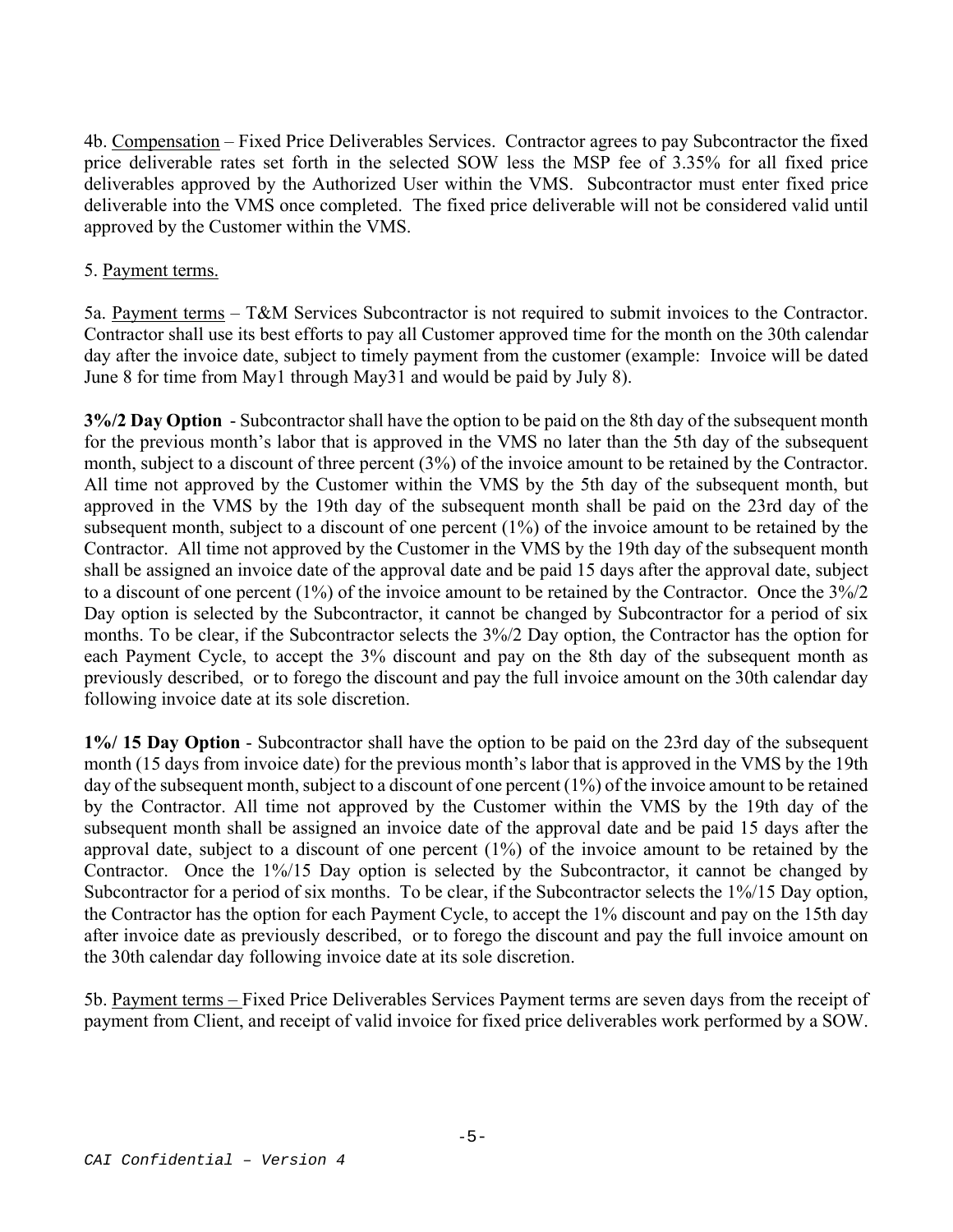4b. Compensation – Fixed Price Deliverables Services. Contractor agrees to pay Subcontractor the fixed price deliverable rates set forth in the selected SOW less the MSP fee of 3.35% for all fixed price deliverables approved by the Authorized User within the VMS. Subcontractor must enter fixed price deliverable into the VMS once completed. The fixed price deliverable will not be considered valid until approved by the Customer within the VMS.

# 5. Payment terms.

5a. Payment terms – T&M Services Subcontractor is not required to submit invoices to the Contractor. Contractor shall use its best efforts to pay all Customer approved time for the month on the 30th calendar day after the invoice date, subject to timely payment from the customer (example: Invoice will be dated June 8 for time from May1 through May31 and would be paid by July 8).

**3%/2 Day Option** - Subcontractor shall have the option to be paid on the 8th day of the subsequent month for the previous month's labor that is approved in the VMS no later than the 5th day of the subsequent month, subject to a discount of three percent (3%) of the invoice amount to be retained by the Contractor. All time not approved by the Customer within the VMS by the 5th day of the subsequent month, but approved in the VMS by the 19th day of the subsequent month shall be paid on the 23rd day of the subsequent month, subject to a discount of one percent (1%) of the invoice amount to be retained by the Contractor. All time not approved by the Customer in the VMS by the 19th day of the subsequent month shall be assigned an invoice date of the approval date and be paid 15 days after the approval date, subject to a discount of one percent (1%) of the invoice amount to be retained by the Contractor. Once the 3%/2 Day option is selected by the Subcontractor, it cannot be changed by Subcontractor for a period of six months. To be clear, if the Subcontractor selects the 3%/2 Day option, the Contractor has the option for each Payment Cycle, to accept the 3% discount and pay on the 8th day of the subsequent month as previously described, or to forego the discount and pay the full invoice amount on the 30th calendar day following invoice date at its sole discretion.

**1%/ 15 Day Option** - Subcontractor shall have the option to be paid on the 23rd day of the subsequent month (15 days from invoice date) for the previous month's labor that is approved in the VMS by the 19th day of the subsequent month, subject to a discount of one percent (1%) of the invoice amount to be retained by the Contractor. All time not approved by the Customer within the VMS by the 19th day of the subsequent month shall be assigned an invoice date of the approval date and be paid 15 days after the approval date, subject to a discount of one percent (1%) of the invoice amount to be retained by the Contractor. Once the 1%/15 Day option is selected by the Subcontractor, it cannot be changed by Subcontractor for a period of six months. To be clear, if the Subcontractor selects the 1%/15 Day option, the Contractor has the option for each Payment Cycle, to accept the 1% discount and pay on the 15th day after invoice date as previously described, or to forego the discount and pay the full invoice amount on the 30th calendar day following invoice date at its sole discretion.

5b. Payment terms – Fixed Price Deliverables Services Payment terms are seven days from the receipt of payment from Client, and receipt of valid invoice for fixed price deliverables work performed by a SOW.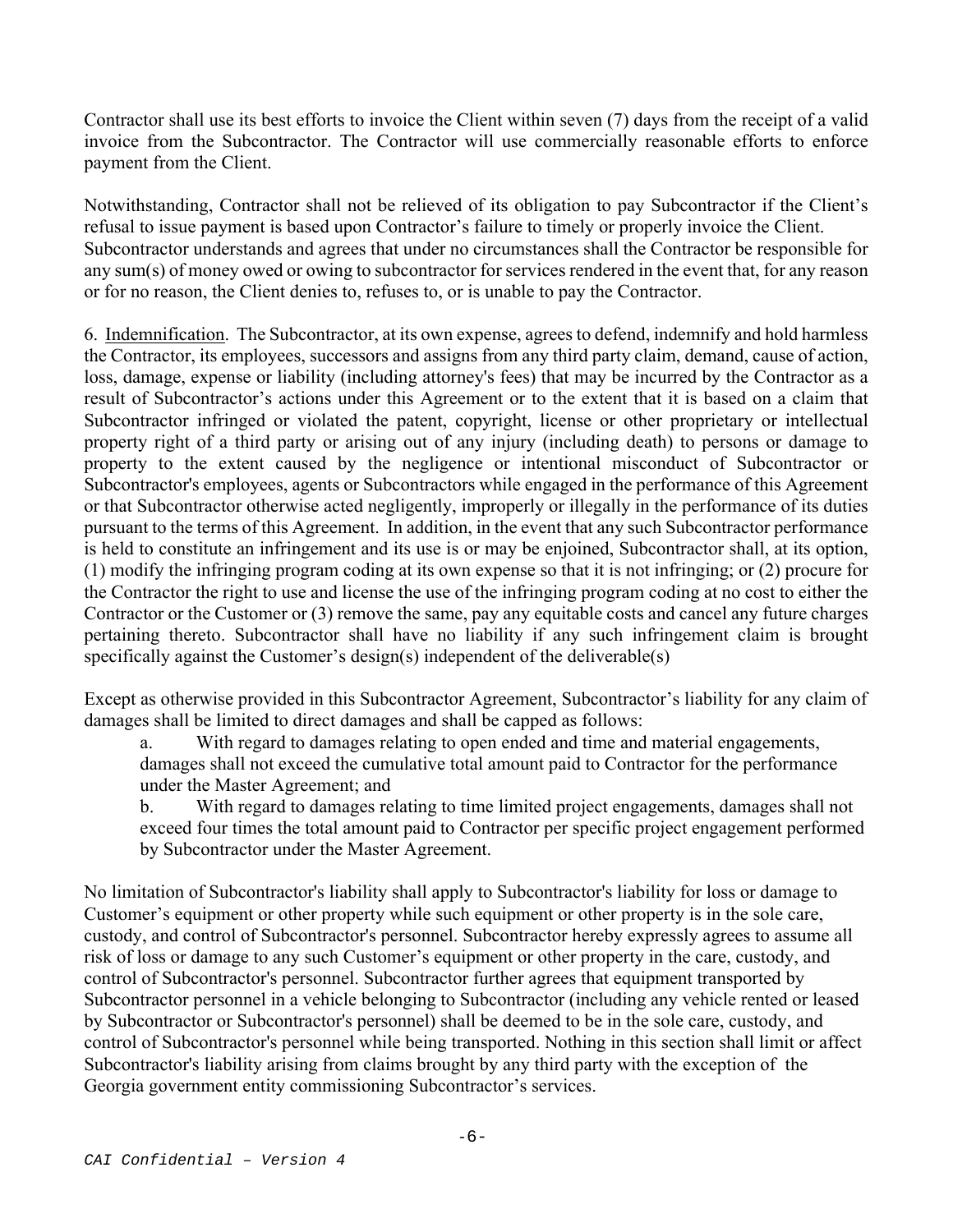Contractor shall use its best efforts to invoice the Client within seven (7) days from the receipt of a valid invoice from the Subcontractor. The Contractor will use commercially reasonable efforts to enforce payment from the Client.

Notwithstanding, Contractor shall not be relieved of its obligation to pay Subcontractor if the Client's refusal to issue payment is based upon Contractor's failure to timely or properly invoice the Client. Subcontractor understands and agrees that under no circumstances shall the Contractor be responsible for any sum(s) of money owed or owing to subcontractor for services rendered in the event that, for any reason or for no reason, the Client denies to, refuses to, or is unable to pay the Contractor.

6. Indemnification. The Subcontractor, at its own expense, agrees to defend, indemnify and hold harmless the Contractor, its employees, successors and assigns from any third party claim, demand, cause of action, loss, damage, expense or liability (including attorney's fees) that may be incurred by the Contractor as a result of Subcontractor's actions under this Agreement or to the extent that it is based on a claim that Subcontractor infringed or violated the patent, copyright, license or other proprietary or intellectual property right of a third party or arising out of any injury (including death) to persons or damage to property to the extent caused by the negligence or intentional misconduct of Subcontractor or Subcontractor's employees, agents or Subcontractors while engaged in the performance of this Agreement or that Subcontractor otherwise acted negligently, improperly or illegally in the performance of its duties pursuant to the terms of this Agreement. In addition, in the event that any such Subcontractor performance is held to constitute an infringement and its use is or may be enjoined, Subcontractor shall, at its option, (1) modify the infringing program coding at its own expense so that it is not infringing; or (2) procure for the Contractor the right to use and license the use of the infringing program coding at no cost to either the Contractor or the Customer or (3) remove the same, pay any equitable costs and cancel any future charges pertaining thereto. Subcontractor shall have no liability if any such infringement claim is brought specifically against the Customer's design(s) independent of the deliverable(s)

Except as otherwise provided in this Subcontractor Agreement, Subcontractor's liability for any claim of damages shall be limited to direct damages and shall be capped as follows:

a. With regard to damages relating to open ended and time and material engagements, damages shall not exceed the cumulative total amount paid to Contractor for the performance under the Master Agreement; and

b. With regard to damages relating to time limited project engagements, damages shall not exceed four times the total amount paid to Contractor per specific project engagement performed by Subcontractor under the Master Agreement.

No limitation of Subcontractor's liability shall apply to Subcontractor's liability for loss or damage to Customer's equipment or other property while such equipment or other property is in the sole care, custody, and control of Subcontractor's personnel. Subcontractor hereby expressly agrees to assume all risk of loss or damage to any such Customer's equipment or other property in the care, custody, and control of Subcontractor's personnel. Subcontractor further agrees that equipment transported by Subcontractor personnel in a vehicle belonging to Subcontractor (including any vehicle rented or leased by Subcontractor or Subcontractor's personnel) shall be deemed to be in the sole care, custody, and control of Subcontractor's personnel while being transported. Nothing in this section shall limit or affect Subcontractor's liability arising from claims brought by any third party with the exception of the Georgia government entity commissioning Subcontractor's services.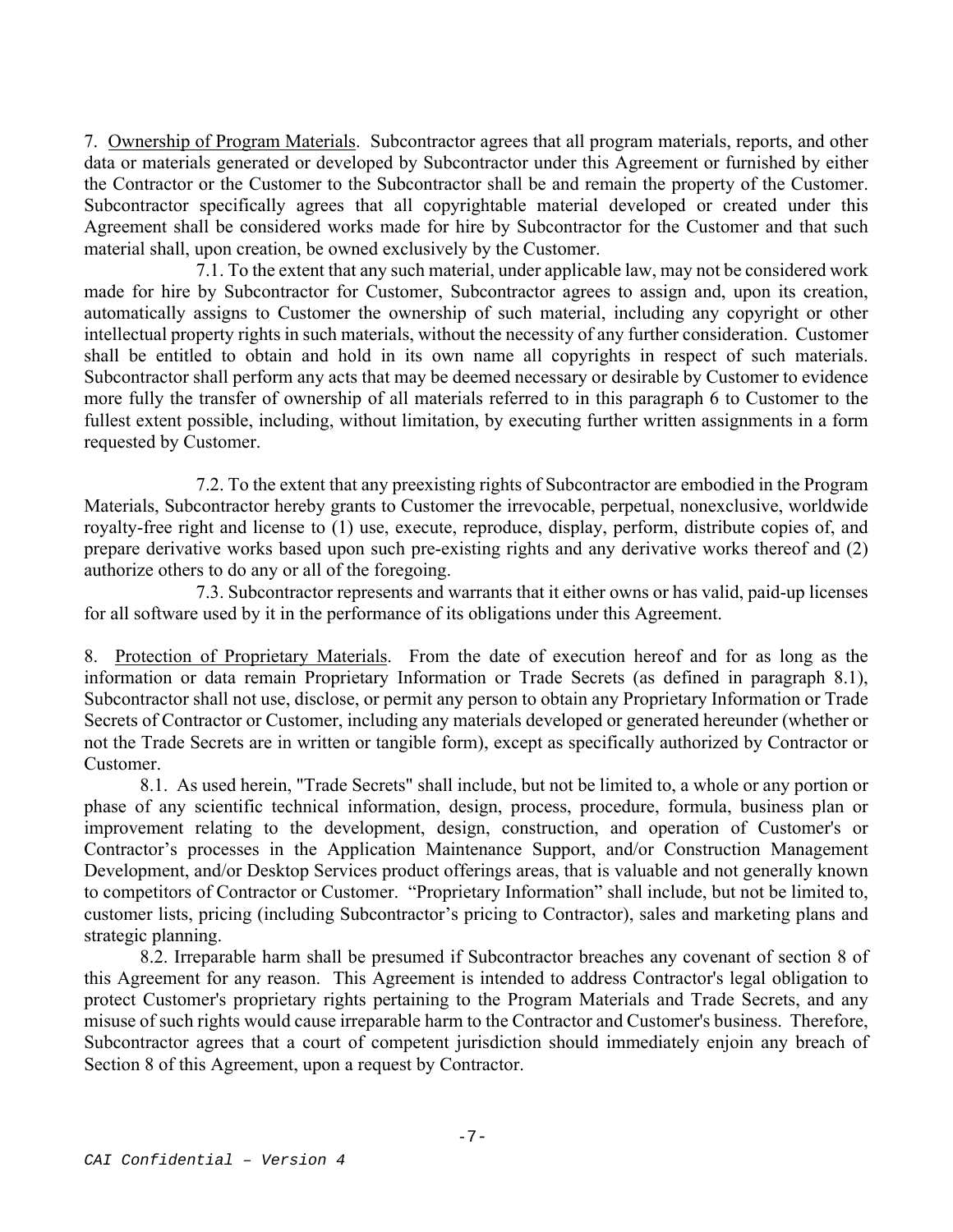7. Ownership of Program Materials. Subcontractor agrees that all program materials, reports, and other data or materials generated or developed by Subcontractor under this Agreement or furnished by either the Contractor or the Customer to the Subcontractor shall be and remain the property of the Customer. Subcontractor specifically agrees that all copyrightable material developed or created under this Agreement shall be considered works made for hire by Subcontractor for the Customer and that such material shall, upon creation, be owned exclusively by the Customer.

 7.1. To the extent that any such material, under applicable law, may not be considered work made for hire by Subcontractor for Customer, Subcontractor agrees to assign and, upon its creation, automatically assigns to Customer the ownership of such material, including any copyright or other intellectual property rights in such materials, without the necessity of any further consideration. Customer shall be entitled to obtain and hold in its own name all copyrights in respect of such materials. Subcontractor shall perform any acts that may be deemed necessary or desirable by Customer to evidence more fully the transfer of ownership of all materials referred to in this paragraph 6 to Customer to the fullest extent possible, including, without limitation, by executing further written assignments in a form requested by Customer.

 7.2. To the extent that any preexisting rights of Subcontractor are embodied in the Program Materials, Subcontractor hereby grants to Customer the irrevocable, perpetual, nonexclusive, worldwide royalty-free right and license to (1) use, execute, reproduce, display, perform, distribute copies of, and prepare derivative works based upon such pre-existing rights and any derivative works thereof and (2) authorize others to do any or all of the foregoing.

 7.3. Subcontractor represents and warrants that it either owns or has valid, paid-up licenses for all software used by it in the performance of its obligations under this Agreement.

8. Protection of Proprietary Materials. From the date of execution hereof and for as long as the information or data remain Proprietary Information or Trade Secrets (as defined in paragraph 8.1), Subcontractor shall not use, disclose, or permit any person to obtain any Proprietary Information or Trade Secrets of Contractor or Customer, including any materials developed or generated hereunder (whether or not the Trade Secrets are in written or tangible form), except as specifically authorized by Contractor or Customer.

 8.1. As used herein, "Trade Secrets" shall include, but not be limited to, a whole or any portion or phase of any scientific technical information, design, process, procedure, formula, business plan or improvement relating to the development, design, construction, and operation of Customer's or Contractor's processes in the Application Maintenance Support, and/or Construction Management Development, and/or Desktop Services product offerings areas, that is valuable and not generally known to competitors of Contractor or Customer. "Proprietary Information" shall include, but not be limited to, customer lists, pricing (including Subcontractor's pricing to Contractor), sales and marketing plans and strategic planning.

 8.2. Irreparable harm shall be presumed if Subcontractor breaches any covenant of section 8 of this Agreement for any reason. This Agreement is intended to address Contractor's legal obligation to protect Customer's proprietary rights pertaining to the Program Materials and Trade Secrets, and any misuse of such rights would cause irreparable harm to the Contractor and Customer's business. Therefore, Subcontractor agrees that a court of competent jurisdiction should immediately enjoin any breach of Section 8 of this Agreement, upon a request by Contractor.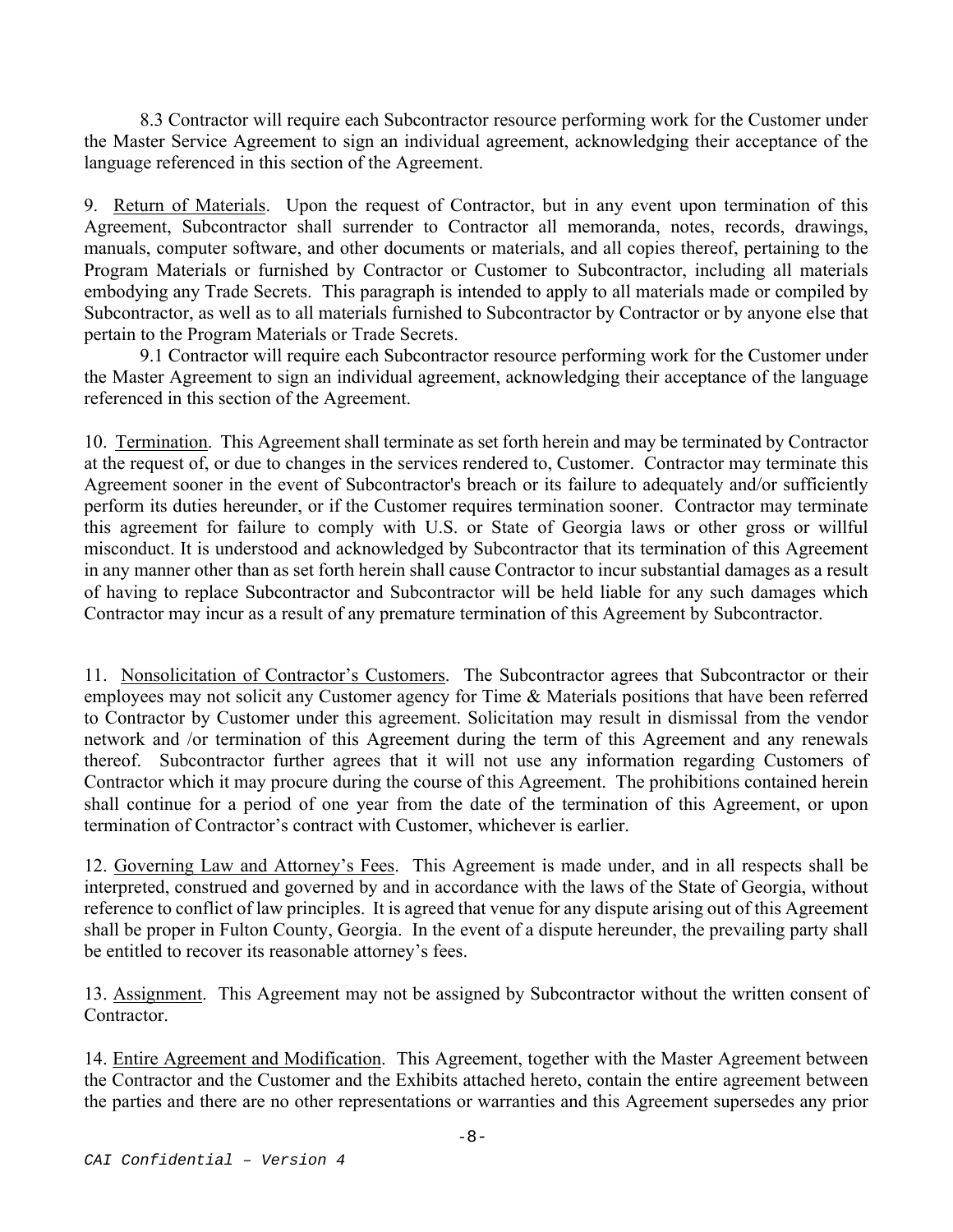8.3 Contractor will require each Subcontractor resource performing work for the Customer under the Master Service Agreement to sign an individual agreement, acknowledging their acceptance of the language referenced in this section of the Agreement.

9. Return of Materials. Upon the request of Contractor, but in any event upon termination of this Agreement, Subcontractor shall surrender to Contractor all memoranda, notes, records, drawings, manuals, computer software, and other documents or materials, and all copies thereof, pertaining to the Program Materials or furnished by Contractor or Customer to Subcontractor, including all materials embodying any Trade Secrets. This paragraph is intended to apply to all materials made or compiled by Subcontractor, as well as to all materials furnished to Subcontractor by Contractor or by anyone else that pertain to the Program Materials or Trade Secrets.

 9.1 Contractor will require each Subcontractor resource performing work for the Customer under the Master Agreement to sign an individual agreement, acknowledging their acceptance of the language referenced in this section of the Agreement.

10. Termination. This Agreement shall terminate as set forth herein and may be terminated by Contractor at the request of, or due to changes in the services rendered to, Customer. Contractor may terminate this Agreement sooner in the event of Subcontractor's breach or its failure to adequately and/or sufficiently perform its duties hereunder, or if the Customer requires termination sooner. Contractor may terminate this agreement for failure to comply with U.S. or State of Georgia laws or other gross or willful misconduct. It is understood and acknowledged by Subcontractor that its termination of this Agreement in any manner other than as set forth herein shall cause Contractor to incur substantial damages as a result of having to replace Subcontractor and Subcontractor will be held liable for any such damages which Contractor may incur as a result of any premature termination of this Agreement by Subcontractor.

11. Nonsolicitation of Contractor's Customers. The Subcontractor agrees that Subcontractor or their employees may not solicit any Customer agency for Time & Materials positions that have been referred to Contractor by Customer under this agreement. Solicitation may result in dismissal from the vendor network and /or termination of this Agreement during the term of this Agreement and any renewals thereof. Subcontractor further agrees that it will not use any information regarding Customers of Contractor which it may procure during the course of this Agreement. The prohibitions contained herein shall continue for a period of one year from the date of the termination of this Agreement, or upon termination of Contractor's contract with Customer, whichever is earlier.

12. Governing Law and Attorney's Fees. This Agreement is made under, and in all respects shall be interpreted, construed and governed by and in accordance with the laws of the State of Georgia, without reference to conflict of law principles. It is agreed that venue for any dispute arising out of this Agreement shall be proper in Fulton County, Georgia. In the event of a dispute hereunder, the prevailing party shall be entitled to recover its reasonable attorney's fees.

13. Assignment. This Agreement may not be assigned by Subcontractor without the written consent of Contractor.

14. Entire Agreement and Modification. This Agreement, together with the Master Agreement between the Contractor and the Customer and the Exhibits attached hereto, contain the entire agreement between the parties and there are no other representations or warranties and this Agreement supersedes any prior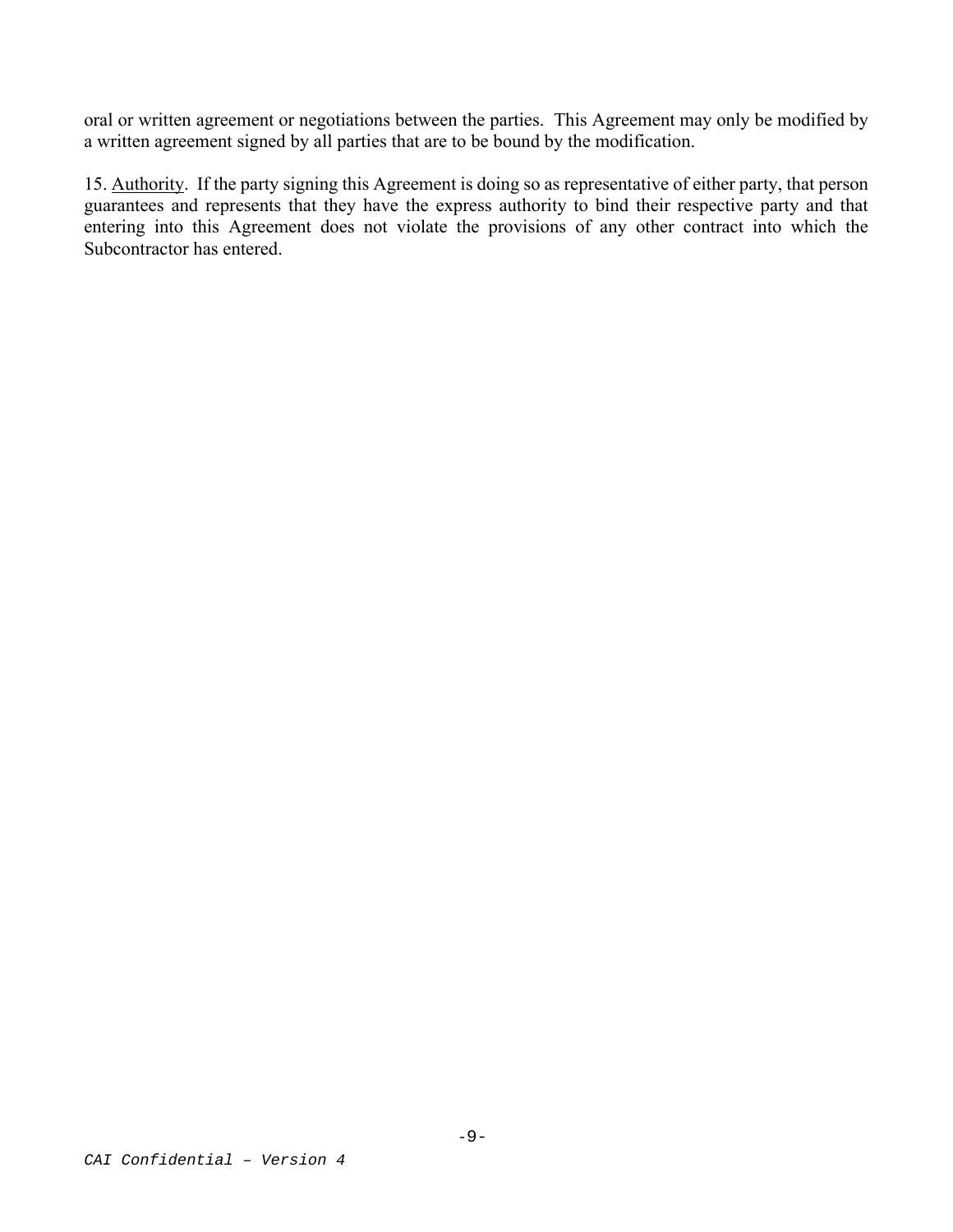oral or written agreement or negotiations between the parties. This Agreement may only be modified by a written agreement signed by all parties that are to be bound by the modification.

15. Authority. If the party signing this Agreement is doing so as representative of either party, that person guarantees and represents that they have the express authority to bind their respective party and that entering into this Agreement does not violate the provisions of any other contract into which the Subcontractor has entered.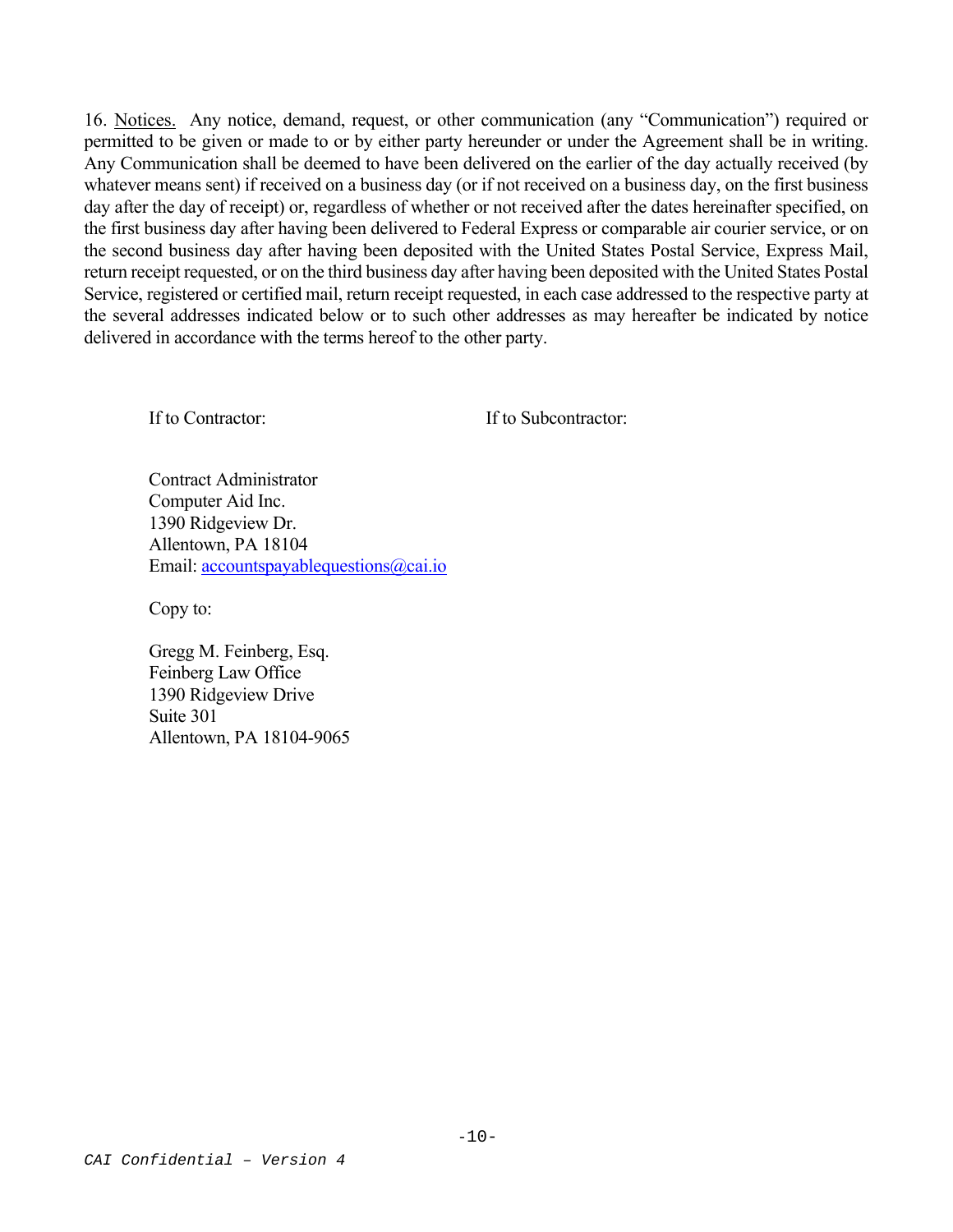16. Notices. Any notice, demand, request, or other communication (any "Communication") required or permitted to be given or made to or by either party hereunder or under the Agreement shall be in writing. Any Communication shall be deemed to have been delivered on the earlier of the day actually received (by whatever means sent) if received on a business day (or if not received on a business day, on the first business day after the day of receipt) or, regardless of whether or not received after the dates hereinafter specified, on the first business day after having been delivered to Federal Express or comparable air courier service, or on the second business day after having been deposited with the United States Postal Service, Express Mail, return receipt requested, or on the third business day after having been deposited with the United States Postal Service, registered or certified mail, return receipt requested, in each case addressed to the respective party at the several addresses indicated below or to such other addresses as may hereafter be indicated by notice delivered in accordance with the terms hereof to the other party.

If to Contractor: If to Subcontractor:

Contract Administrator Computer Aid Inc. 1390 Ridgeview Dr. Allentown, PA 18104 Email: accountspayablequestions@cai.io

Copy to:

Gregg M. Feinberg, Esq. Feinberg Law Office 1390 Ridgeview Drive Suite 301 Allentown, PA 18104-9065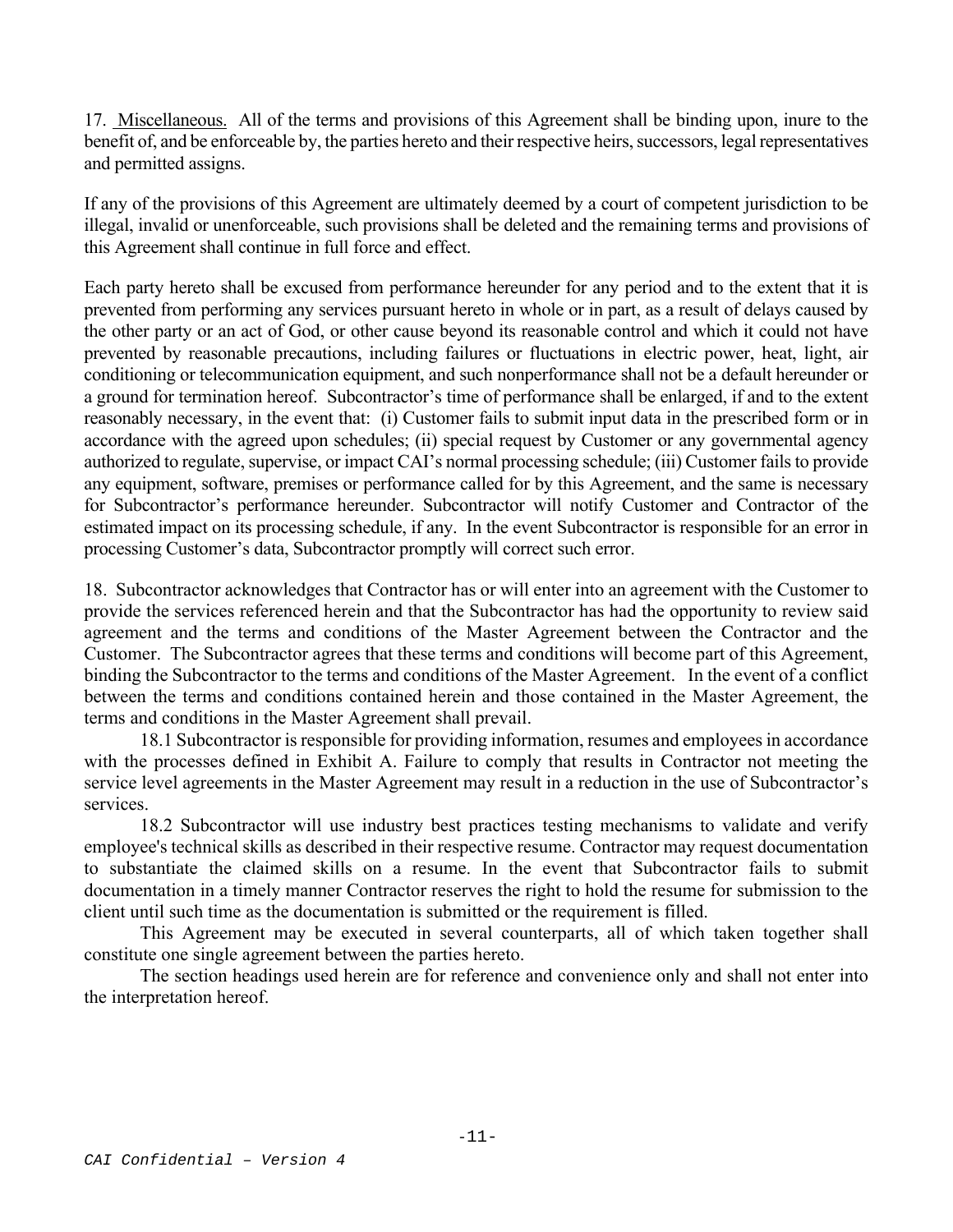17. Miscellaneous. All of the terms and provisions of this Agreement shall be binding upon, inure to the benefit of, and be enforceable by, the parties hereto and their respective heirs, successors, legal representatives and permitted assigns.

If any of the provisions of this Agreement are ultimately deemed by a court of competent jurisdiction to be illegal, invalid or unenforceable, such provisions shall be deleted and the remaining terms and provisions of this Agreement shall continue in full force and effect.

Each party hereto shall be excused from performance hereunder for any period and to the extent that it is prevented from performing any services pursuant hereto in whole or in part, as a result of delays caused by the other party or an act of God, or other cause beyond its reasonable control and which it could not have prevented by reasonable precautions, including failures or fluctuations in electric power, heat, light, air conditioning or telecommunication equipment, and such nonperformance shall not be a default hereunder or a ground for termination hereof. Subcontractor's time of performance shall be enlarged, if and to the extent reasonably necessary, in the event that: (i) Customer fails to submit input data in the prescribed form or in accordance with the agreed upon schedules; (ii) special request by Customer or any governmental agency authorized to regulate, supervise, or impact CAI's normal processing schedule; (iii) Customer fails to provide any equipment, software, premises or performance called for by this Agreement, and the same is necessary for Subcontractor's performance hereunder. Subcontractor will notify Customer and Contractor of the estimated impact on its processing schedule, if any. In the event Subcontractor is responsible for an error in processing Customer's data, Subcontractor promptly will correct such error.

18. Subcontractor acknowledges that Contractor has or will enter into an agreement with the Customer to provide the services referenced herein and that the Subcontractor has had the opportunity to review said agreement and the terms and conditions of the Master Agreement between the Contractor and the Customer. The Subcontractor agrees that these terms and conditions will become part of this Agreement, binding the Subcontractor to the terms and conditions of the Master Agreement. In the event of a conflict between the terms and conditions contained herein and those contained in the Master Agreement, the terms and conditions in the Master Agreement shall prevail.

18.1 Subcontractor is responsible for providing information, resumes and employees in accordance with the processes defined in Exhibit A. Failure to comply that results in Contractor not meeting the service level agreements in the Master Agreement may result in a reduction in the use of Subcontractor's services.

 18.2 Subcontractor will use industry best practices testing mechanisms to validate and verify employee's technical skills as described in their respective resume. Contractor may request documentation to substantiate the claimed skills on a resume. In the event that Subcontractor fails to submit documentation in a timely manner Contractor reserves the right to hold the resume for submission to the client until such time as the documentation is submitted or the requirement is filled.

This Agreement may be executed in several counterparts, all of which taken together shall constitute one single agreement between the parties hereto.

The section headings used herein are for reference and convenience only and shall not enter into the interpretation hereof.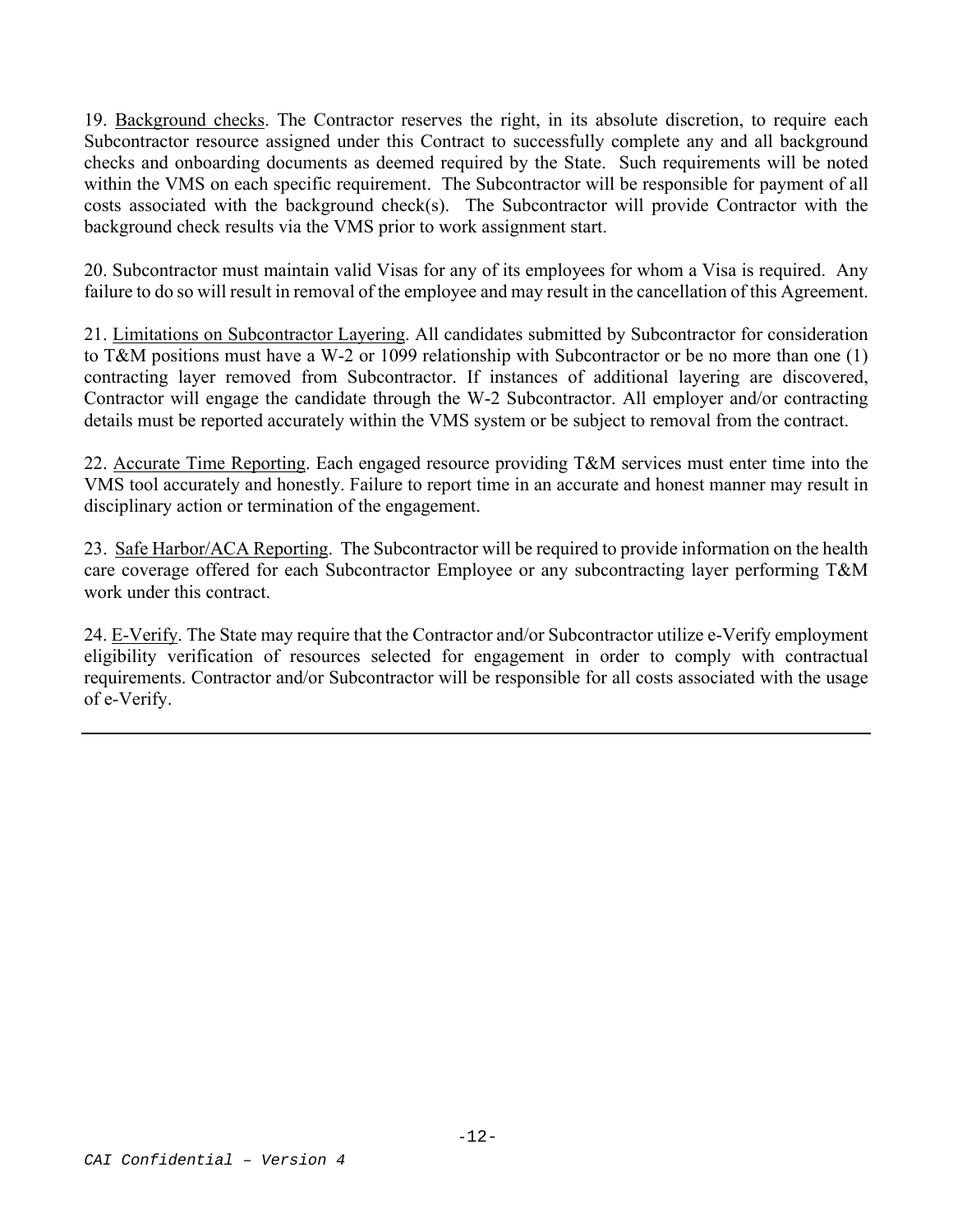19. Background checks. The Contractor reserves the right, in its absolute discretion, to require each Subcontractor resource assigned under this Contract to successfully complete any and all background checks and onboarding documents as deemed required by the State. Such requirements will be noted within the VMS on each specific requirement. The Subcontractor will be responsible for payment of all costs associated with the background check(s). The Subcontractor will provide Contractor with the background check results via the VMS prior to work assignment start.

20. Subcontractor must maintain valid Visas for any of its employees for whom a Visa is required. Any failure to do so will result in removal of the employee and may result in the cancellation of this Agreement.

21. Limitations on Subcontractor Layering. All candidates submitted by Subcontractor for consideration to T&M positions must have a W-2 or 1099 relationship with Subcontractor or be no more than one (1) contracting layer removed from Subcontractor. If instances of additional layering are discovered, Contractor will engage the candidate through the W-2 Subcontractor. All employer and/or contracting details must be reported accurately within the VMS system or be subject to removal from the contract.

22. Accurate Time Reporting. Each engaged resource providing T&M services must enter time into the VMS tool accurately and honestly. Failure to report time in an accurate and honest manner may result in disciplinary action or termination of the engagement.

23. Safe Harbor/ACA Reporting. The Subcontractor will be required to provide information on the health care coverage offered for each Subcontractor Employee or any subcontracting layer performing T&M work under this contract.

24. E-Verify. The State may require that the Contractor and/or Subcontractor utilize e-Verify employment eligibility verification of resources selected for engagement in order to comply with contractual requirements. Contractor and/or Subcontractor will be responsible for all costs associated with the usage of e-Verify.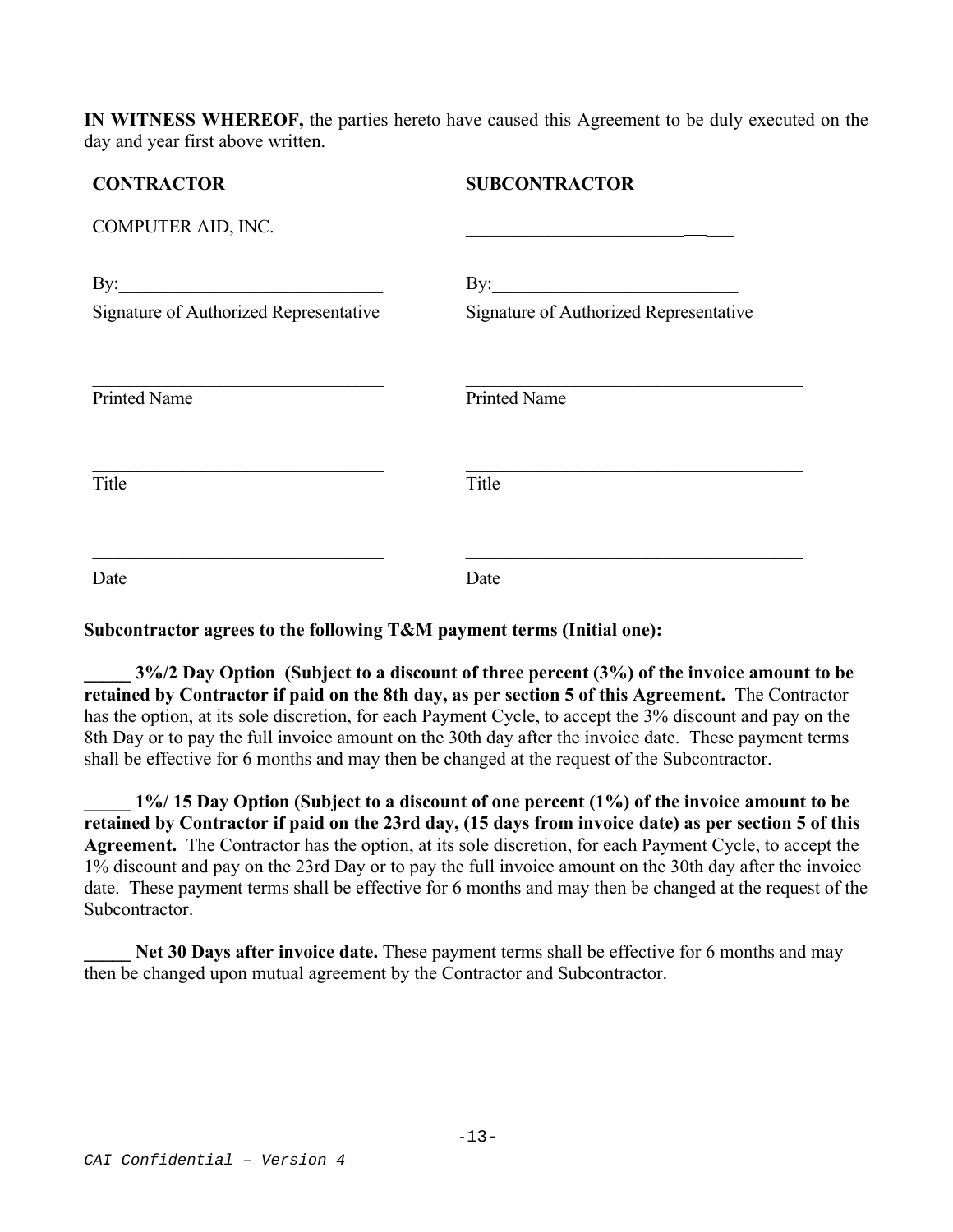**IN WITNESS WHEREOF,** the parties hereto have caused this Agreement to be duly executed on the day and year first above written.

# **CONTRACTOR SUBCONTRACTOR**  COMPUTER AID, INC. By:  $\qquad \qquad \text{By:}$ Signature of Authorized Representative Signature of Authorized Representative Printed Name Printed Name Title Title Date Date Date

## **Subcontractor agrees to the following T&M payment terms (Initial one):**

**\_\_\_\_\_ 3%/2 Day Option (Subject to a discount of three percent (3%) of the invoice amount to be retained by Contractor if paid on the 8th day, as per section 5 of this Agreement.** The Contractor has the option, at its sole discretion, for each Payment Cycle, to accept the 3% discount and pay on the 8th Day or to pay the full invoice amount on the 30th day after the invoice date. These payment terms shall be effective for 6 months and may then be changed at the request of the Subcontractor.

**\_\_\_\_\_ 1%/ 15 Day Option (Subject to a discount of one percent (1%) of the invoice amount to be retained by Contractor if paid on the 23rd day, (15 days from invoice date) as per section 5 of this Agreement.** The Contractor has the option, at its sole discretion, for each Payment Cycle, to accept the 1% discount and pay on the 23rd Day or to pay the full invoice amount on the 30th day after the invoice date. These payment terms shall be effective for 6 months and may then be changed at the request of the Subcontractor.

**Net 30 Days after invoice date.** These payment terms shall be effective for 6 months and may then be changed upon mutual agreement by the Contractor and Subcontractor.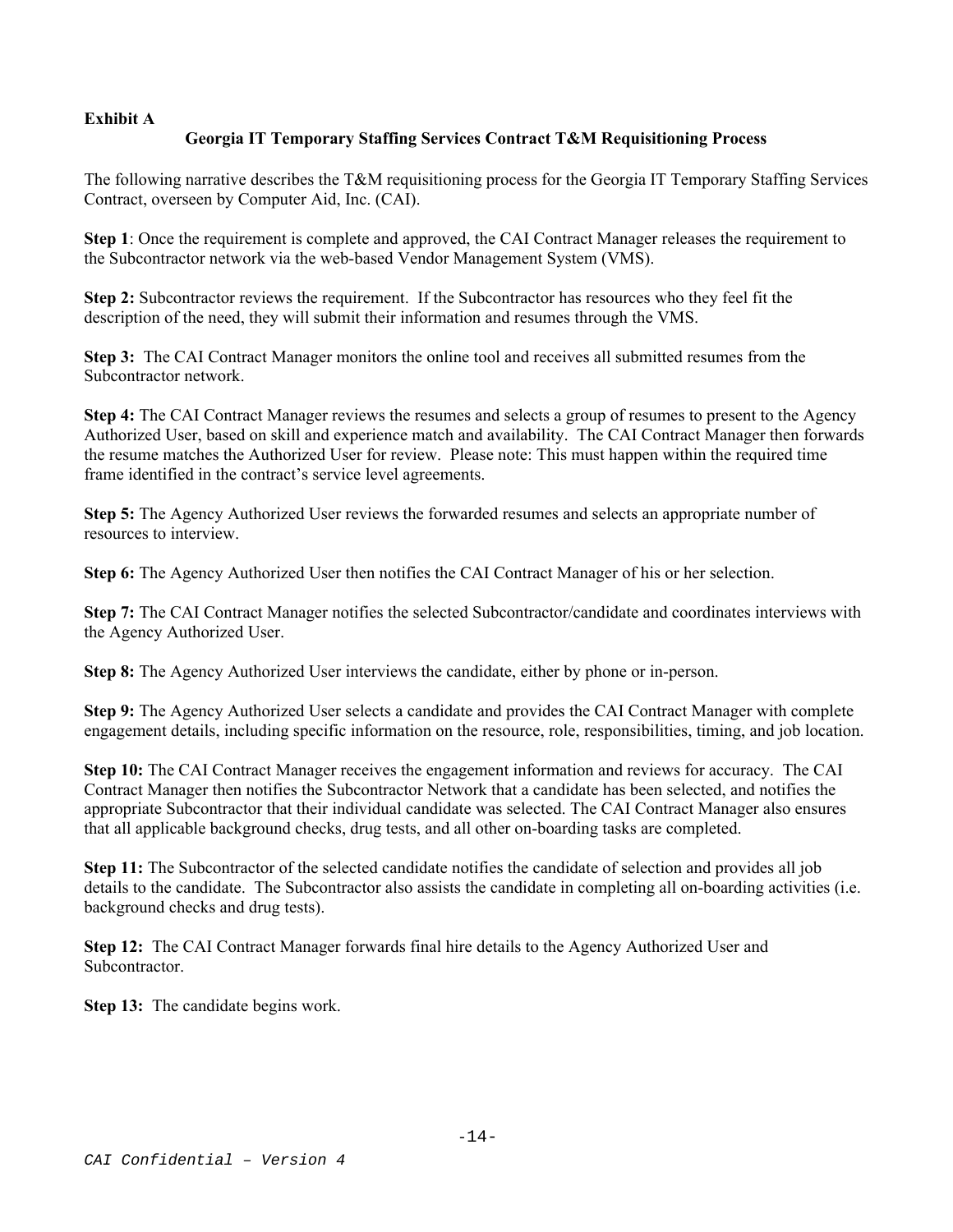### **Exhibit A**

## **Georgia IT Temporary Staffing Services Contract T&M Requisitioning Process**

The following narrative describes the T&M requisitioning process for the Georgia IT Temporary Staffing Services Contract, overseen by Computer Aid, Inc. (CAI).

**Step 1**: Once the requirement is complete and approved, the CAI Contract Manager releases the requirement to the Subcontractor network via the web-based Vendor Management System (VMS).

**Step 2:** Subcontractor reviews the requirement. If the Subcontractor has resources who they feel fit the description of the need, they will submit their information and resumes through the VMS.

**Step 3:** The CAI Contract Manager monitors the online tool and receives all submitted resumes from the Subcontractor network.

**Step 4:** The CAI Contract Manager reviews the resumes and selects a group of resumes to present to the Agency Authorized User, based on skill and experience match and availability. The CAI Contract Manager then forwards the resume matches the Authorized User for review. Please note: This must happen within the required time frame identified in the contract's service level agreements.

**Step 5:** The Agency Authorized User reviews the forwarded resumes and selects an appropriate number of resources to interview.

**Step 6:** The Agency Authorized User then notifies the CAI Contract Manager of his or her selection.

**Step 7:** The CAI Contract Manager notifies the selected Subcontractor/candidate and coordinates interviews with the Agency Authorized User.

**Step 8:** The Agency Authorized User interviews the candidate, either by phone or in-person.

**Step 9:** The Agency Authorized User selects a candidate and provides the CAI Contract Manager with complete engagement details, including specific information on the resource, role, responsibilities, timing, and job location.

**Step 10:** The CAI Contract Manager receives the engagement information and reviews for accuracy. The CAI Contract Manager then notifies the Subcontractor Network that a candidate has been selected, and notifies the appropriate Subcontractor that their individual candidate was selected. The CAI Contract Manager also ensures that all applicable background checks, drug tests, and all other on-boarding tasks are completed.

**Step 11:** The Subcontractor of the selected candidate notifies the candidate of selection and provides all job details to the candidate. The Subcontractor also assists the candidate in completing all on-boarding activities (i.e. background checks and drug tests).

**Step 12:** The CAI Contract Manager forwards final hire details to the Agency Authorized User and Subcontractor.

**Step 13:** The candidate begins work.